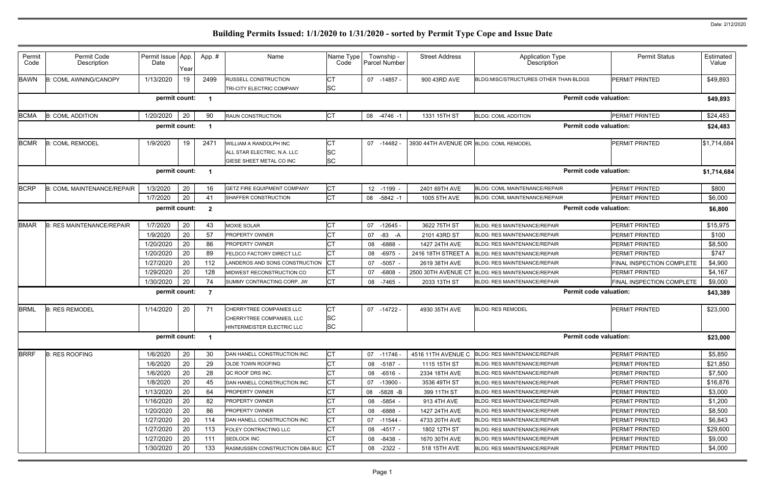| Permit<br>Code                                                     | Permit Code<br>Description        | Permit Issue App.<br>Date | Year | App.# | Name                                                                                | Name Type<br>Code             | Township -<br>Parcel Number | <b>Street Address</b>                  | <b>Application Type</b><br>Description          | <b>Permit Status</b>      | Estimated<br>Value |
|--------------------------------------------------------------------|-----------------------------------|---------------------------|------|-------|-------------------------------------------------------------------------------------|-------------------------------|-----------------------------|----------------------------------------|-------------------------------------------------|---------------------------|--------------------|
| <b>BAWN</b>                                                        | <b>B: COML AWNING/CANOPY</b>      | 1/13/2020                 | 19   | 2499  | RUSSELL CONSTRUCTION                                                                |                               | 07 -14857 -                 | 900 43RD AVE                           | BLDG:MISC/STRUCTURES OTHER THAN BLDGS           | PERMIT PRINTED            | \$49,893           |
|                                                                    |                                   |                           |      |       | <b>TRI-CITY ELECTRIC COMPANY</b>                                                    | <b>SC</b>                     |                             |                                        |                                                 |                           |                    |
|                                                                    |                                   | permit count:             |      |       |                                                                                     |                               |                             |                                        | <b>Permit code valuation:</b>                   |                           | \$49,893           |
| <b>BCMA</b>                                                        | <b>B: COML ADDITION</b>           | 1/20/2020                 | 20   | 90    | <b>RAUN CONSTRUCTION</b>                                                            | IСТ                           | 08 -4746 -1                 | 1331 15TH ST                           | <b>BLDG: COML ADDITION</b>                      | PERMIT PRINTED            | \$24,483           |
|                                                                    |                                   | permit count:             |      |       |                                                                                     |                               |                             |                                        | <b>Permit code valuation:</b>                   |                           | \$24,483           |
| <b>BCMR</b>                                                        | <b>B: COML REMODEL</b>            | 1/9/2020                  | 19   | 2471  | WILLIAM A RANDOLPH INC                                                              | Iст                           | 07 -14482 -                 | 3930 44TH AVENUE DR BLDG: COML REMODEL |                                                 | PERMIT PRINTED            | \$1,714,684        |
|                                                                    |                                   |                           |      |       | ALL STAR ELECTRIC, N.A. LLC                                                         | <b>SC</b>                     |                             |                                        |                                                 |                           |                    |
|                                                                    |                                   |                           |      |       | GIESE SHEET METAL CO INC                                                            | <b>SC</b>                     |                             |                                        |                                                 |                           |                    |
|                                                                    |                                   | permit count:             |      |       |                                                                                     |                               |                             |                                        | <b>Permit code valuation:</b>                   |                           | \$1,714,684        |
| <b>BCRP</b>                                                        | <b>B: COML MAINTENANCE/REPAIR</b> | 1/3/2020                  | 20   | 16    | <b>GETZ FIRE EQUIPMENT COMPANY</b>                                                  | IСТ                           | 12 -1199 -                  | 2401 69TH AVE                          | <b>BLDG: COML MAINTENANCE/REPAIR</b>            | PERMIT PRINTED            | \$800              |
|                                                                    |                                   | 1/7/2020                  | 20   | 41    | SHAFFER CONSTRUCTION                                                                | Iст                           | 08<br>$-5842 -1$            | 1005 5TH AVE                           | <b>BLDG: COML MAINTENANCE/REPAIR</b>            | PERMIT PRINTED            | \$6,000            |
| <b>Permit code valuation:</b><br>permit count:<br>$\boldsymbol{2}$ |                                   |                           |      |       |                                                                                     |                               |                             |                                        |                                                 |                           | \$6,800            |
| <b>BMAR</b>                                                        | <b>B: RES MAINTENANCE/REPAIR</b>  | 1/7/2020                  | 20   | 43    | MOXIE SOLAR                                                                         | <b>CT</b>                     | 07<br>-12645 -              | 3622 75TH ST                           | <b>BLDG: RES MAINTENANCE/REPAIR</b>             | PERMIT PRINTED            | \$15,975           |
|                                                                    |                                   | 1/9/2020                  | 20   | 57    | PROPERTY OWNER                                                                      |                               | $-83$<br>07<br>-A           | 2101 43RD ST                           | <b>BLDG: RES MAINTENANCE/REPAIR</b>             | PERMIT PRINTED            | \$100              |
|                                                                    |                                   | 1/20/2020                 | 20   | 86    | PROPERTY OWNER                                                                      |                               | $-6888$<br>08               | 1427 24TH AVE                          | <b>BLDG: RES MAINTENANCE/REPAIR</b>             | <b>PERMIT PRINTED</b>     | \$8,500            |
|                                                                    |                                   | 1/20/2020                 | 20   | 89    | FELDCO FACTORY DIRECT LLC                                                           |                               | $-6975$<br>08               | 2416 18TH STREET A                     | BLDG: RES MAINTENANCE/REPAIR                    | PERMIT PRINTED            | \$747              |
|                                                                    |                                   | 1/27/2020                 | 20   | 112   | LANDEROS AND SONS CONSTRUCTION                                                      |                               | $-5057 -$<br>07             | 2619 38TH AVE                          | <b>BLDG: RES MAINTENANCE/REPAIR</b>             | FINAL INSPECTION COMPLETE | \$4,900            |
|                                                                    |                                   | 1/29/2020                 | 20   | 128   | MIDWEST RECONSTRUCTION CO                                                           | <b>CT</b>                     | $-6808$<br>07               | 2500 30TH AVENUE CT                    | <b>BLDG: RES MAINTENANCE/REPAIR</b>             | PERMIT PRINTED            | \$4,167            |
|                                                                    |                                   | 1/30/2020                 | 20   | 74    | SUMMY CONTRACTING CORP, JW                                                          | <b>CT</b>                     | 08 -7465 -                  | 2033 13TH ST                           | <b>BLDG: RES MAINTENANCE/REPAIR</b>             | FINAL INSPECTION COMPLETE | \$9,000            |
|                                                                    |                                   | permit count:             |      |       |                                                                                     |                               |                             |                                        | <b>Permit code valuation:</b>                   |                           | \$43,389           |
| <b>BRML</b>                                                        | <b>B: RES REMODEL</b>             | 1/14/2020                 | 20   | 71    | CHERRYTREE COMPANIES LLC<br>CHERRYTREE COMPANIES, LLC<br>HINTERMEISTER ELECTRIC LLC | Iст<br><b>SC</b><br><b>SC</b> | $07 - 14722$                | 4930 35TH AVE                          | <b>BLDG: RES REMODEL</b>                        | <b>PERMIT PRINTED</b>     | \$23,000           |
|                                                                    |                                   | permit count:             |      |       |                                                                                     |                               |                             |                                        | <b>Permit code valuation:</b>                   |                           | \$23,000           |
| <b>BRRF</b>                                                        | <b>B: RES ROOFING</b>             | 1/6/2020                  | 20   | 30    | DAN HANELL CONSTRUCTION INC                                                         | IСТ                           | 07 -11746 -                 |                                        | 4516 11TH AVENUE C BLDG: RES MAINTENANCE/REPAIR | PERMIT PRINTED            | \$5,850            |
|                                                                    |                                   | 1/6/2020                  | 20   | 29    | <b>OLDE TOWN ROOFING</b>                                                            | <b>CT</b>                     | 08 -5187 -                  | 1115 15TH ST                           | <b>BLDG: RES MAINTENANCE/REPAIR</b>             | PERMIT PRINTED            | \$21,850           |
|                                                                    |                                   | 1/6/2020                  | 20   | 28    | QC ROOF DRS INC.                                                                    |                               | 08 -6516 -                  | 2334 18TH AVE                          | <b>BLDG: RES MAINTENANCE/REPAIR</b>             | PERMIT PRINTED            | \$7,500            |
|                                                                    |                                   | 1/8/2020                  | 20   | 45    | DAN HANELL CONSTRUCTION INC                                                         |                               | -13900 -<br>07              | 3536 49TH ST                           | <b>BLDG: RES MAINTENANCE/REPAIR</b>             | PERMIT PRINTED            | \$16,876           |
|                                                                    |                                   | 1/13/2020                 | 20   | 64    | <b>PROPERTY OWNER</b>                                                               |                               | 08 -5828 -B                 | 399 11TH ST                            | <b>BLDG: RES MAINTENANCE/REPAIR</b>             | PERMIT PRINTED            | \$3,000            |
|                                                                    |                                   | 1/16/2020                 | 20   | 82    | <b>PROPERTY OWNER</b>                                                               |                               | -5854 -<br>08               | 913 4TH AVE                            | <b>BLDG: RES MAINTENANCE/REPAIR</b>             | PERMIT PRINTED            | \$1,200            |
|                                                                    |                                   | 1/20/2020                 | 20   | 86    | <b>PROPERTY OWNER</b>                                                               |                               | 08 -6888 -                  | 1427 24TH AVE                          | <b>BLDG: RES MAINTENANCE/REPAIR</b>             | PERMIT PRINTED            | \$8,500            |
|                                                                    |                                   | 1/27/2020                 | 20   | 114   | DAN HANELL CONSTRUCTION INC                                                         |                               | 07 -11544 -                 | 4733 20TH AVE                          | <b>BLDG: RES MAINTENANCE/REPAIR</b>             | PERMIT PRINTED            | \$6,843            |
|                                                                    |                                   | 1/27/2020                 | 20   | 113   | FOLEY CONTRACTING LLC                                                               |                               | 08 -4517 -                  | 1802 12TH ST                           | <b>BLDG: RES MAINTENANCE/REPAIR</b>             | PERMIT PRINTED            | \$29,600           |
|                                                                    |                                   | 1/27/2020                 | 20   | 111   | <b>SEDLOCK INC</b>                                                                  |                               | 08 -8438 -                  | 1670 30TH AVE                          | <b>BLDG: RES MAINTENANCE/REPAIR</b>             | PERMIT PRINTED            | \$9,000            |
|                                                                    |                                   | 1/30/2020                 | 20   | 133   | RASMUSSEN CONSTRUCTION DBA BUC CT                                                   |                               | 08 -2322 -                  | 518 15TH AVE                           | <b>BLDG: RES MAINTENANCE/REPAIR</b>             | PERMIT PRINTED            | \$4,000            |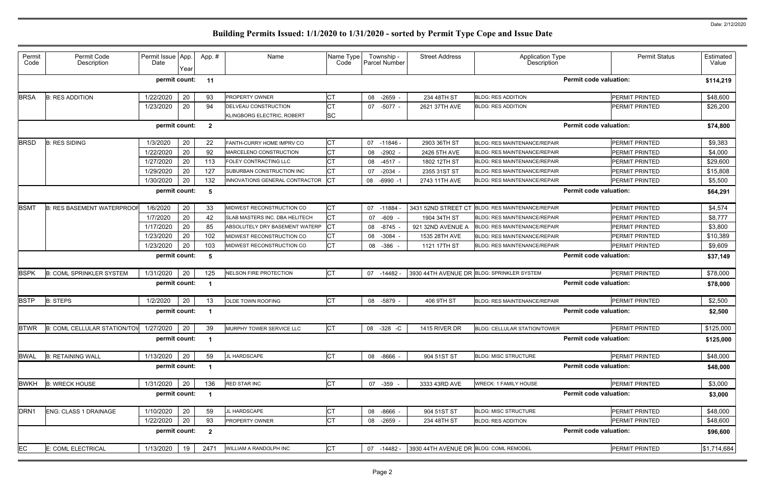| Permit<br>Code   | Permit Code<br>Description                                                | Permit Issue App.<br>Date | Year | App.#                    | Name                              | Name Type<br>Code | Township -<br><b>Parcel Number</b> | <b>Street Address</b>                  | <b>Application Type</b><br>Description     | <b>Permit Status</b>          | Estimated<br>Value |  |
|------------------|---------------------------------------------------------------------------|---------------------------|------|--------------------------|-----------------------------------|-------------------|------------------------------------|----------------------------------------|--------------------------------------------|-------------------------------|--------------------|--|
|                  |                                                                           | permit count:             |      | 11                       |                                   |                   |                                    |                                        |                                            | <b>Permit code valuation:</b> | \$114,219          |  |
| <b>BRSA</b>      | <b>B: RES ADDITION</b>                                                    | 1/22/2020                 | 20   | 93                       | <b>PROPERTY OWNER</b>             | <b>CT</b>         | 08<br>-2659 -                      | 234 48TH ST                            | <b>BLDG: RES ADDITION</b>                  | PERMIT PRINTED                | \$48,600           |  |
|                  |                                                                           | 1/23/2020                 | 20   | 94                       | DELVEAU CONSTRUCTION              | <b>CT</b>         | 07 -5077 -                         | 2621 37TH AVE                          | <b>BLDG: RES ADDITION</b>                  | <b>PERMIT PRINTED</b>         | \$26,200           |  |
|                  |                                                                           |                           |      |                          | KLINGBORG ELECTRIC, ROBERT        | <b>SC</b>         |                                    |                                        |                                            |                               |                    |  |
|                  | permit count:<br><b>Permit code valuation:</b><br>$\overline{\mathbf{2}}$ |                           |      |                          |                                   |                   |                                    |                                        |                                            |                               |                    |  |
| <b>BRSD</b>      | <b>B: RES SIDING</b>                                                      | 1/3/2020                  | 20   | 22                       | FANTH-CURRY HOME IMPRV CO         | <b>CT</b>         | 07 -11846 -                        | 2903 36TH ST                           | <b>BLDG: RES MAINTENANCE/REPAIR</b>        | PERMIT PRINTED                | \$9,383            |  |
|                  |                                                                           | 1/22/2020                 | 20   | 92                       | MARCELENO CONSTRUCTION            | <b>CT</b>         | $-2902$<br>08                      | 2426 5TH AVE                           | <b>BLDG: RES MAINTENANCE/REPAIR</b>        | <b>PERMIT PRINTED</b>         | \$4,000            |  |
|                  |                                                                           | 1/27/2020                 | 20   | 113                      | FOLEY CONTRACTING LLC             | <b>CT</b>         | 08 -4517 -                         | 1802 12TH ST                           | <b>BLDG: RES MAINTENANCE/REPAIR</b>        | PERMIT PRINTED                | \$29,600           |  |
|                  |                                                                           | 1/29/2020                 | 20   | 127                      | SUBURBAN CONSTRUCTION INC         | <b>CT</b>         | $-2034$ -<br>07                    | 2355 31ST ST                           | <b>BLDG: RES MAINTENANCE/REPAIR</b>        | <b>PERMIT PRINTED</b>         | \$15,808           |  |
|                  |                                                                           | 1/30/2020                 | 20   | 132                      | INNOVATIONS GENERAL CONTRACTOR CT |                   | 08<br>$-6990 -1$                   | 2743 11TH AVE                          | BLDG: RES MAINTENANCE/REPAIR               | PERMIT PRINTED                | \$5,500            |  |
|                  |                                                                           | permit count:             |      | -5                       |                                   |                   |                                    |                                        |                                            | <b>Permit code valuation:</b> | \$64,291           |  |
| <b>BSMT</b>      | <b>B: RES BASEMENT WATERPROOL</b>                                         | 1/6/2020                  | 20   | 33                       | MIDWEST RECONSTRUCTION CO         | <b>CT</b>         | 07 -11884                          | 3431 52ND STREET CT                    | <b>BLDG: RES MAINTENANCE/REPAIR</b>        | <b>PERMIT PRINTED</b>         | \$4,574            |  |
|                  |                                                                           | 1/7/2020                  | 20   | 42                       | SLAB MASTERS INC. DBA HELITECH    | <b>CT</b>         | -609<br>07                         | 1904 34TH ST                           | <b>BLDG: RES MAINTENANCE/REPAIR</b>        | PERMIT PRINTED                | \$8,777            |  |
|                  |                                                                           | 1/17/2020                 | 20   | 85                       | ABSOLUTELY DRY BASEMENT WATERP    | <b>CT</b>         | 08 -8745                           | 921 32ND AVENUE A                      | <b>BLDG: RES MAINTENANCE/REPAIR</b>        | <b>PERMIT PRINTED</b>         | \$3,800            |  |
|                  |                                                                           | 1/23/2020                 | 20   | 102                      | MIDWEST RECONSTRUCTION CO         | <b>CT</b>         | 08 -3084                           | 1535 28TH AVE                          | <b>BLDG: RES MAINTENANCE/REPAIR</b>        | PERMIT PRINTED                | \$10,389           |  |
|                  |                                                                           | 1/23/2020                 | 20   | 103                      | MIDWEST RECONSTRUCTION CO         | <b>CT</b>         | 08<br>-386                         | 1121 17TH ST                           | <b>BLDG: RES MAINTENANCE/REPAIR</b>        | PERMIT PRINTED                | \$9,609            |  |
|                  |                                                                           | permit count:             |      | - 5                      |                                   |                   |                                    |                                        |                                            | <b>Permit code valuation:</b> | \$37,149           |  |
| <b>BSPK</b>      | <b>B: COML SPRINKLER SYSTEM</b>                                           | 1/31/2020                 | 20   | 125                      | NELSON FIRE PROTECTION            | <b>CT</b>         | 07 -14482 -                        |                                        | 3930 44TH AVENUE DR BLDG: SPRINKLER SYSTEM | PERMIT PRINTED                | \$78,000           |  |
|                  |                                                                           | permit count:             |      |                          |                                   |                   |                                    |                                        |                                            | <b>Permit code valuation:</b> | \$78,000           |  |
| <b>BSTP</b>      | <b>B: STEPS</b>                                                           | 1/2/2020                  | 20   | 13                       | <b>OLDE TOWN ROOFING</b>          | <b>CT</b>         | 08 -5879 -                         | 406 9TH ST                             | <b>BLDG: RES MAINTENANCE/REPAIR</b>        | PERMIT PRINTED                | \$2,500            |  |
|                  |                                                                           | permit count:             |      |                          |                                   |                   |                                    |                                        |                                            | <b>Permit code valuation:</b> |                    |  |
|                  |                                                                           |                           |      |                          |                                   |                   |                                    |                                        |                                            |                               | \$2,500            |  |
|                  | $BTWR$ $B:$ COML CELLULAR STATION/TOV $1/27/2020$ 20 $39$                 |                           |      |                          | MURPHY TOWER SERVICE LLC          | <b>CT</b>         | 08 -328 -C                         | 1415 RIVER DR                          | BLDG: CELLULAR STATION/TOWER               | PERMIT PRINTED                | \$125,000          |  |
|                  |                                                                           | permit count: 1           |      |                          |                                   |                   |                                    |                                        |                                            | <b>Permit code valuation:</b> | \$125,000          |  |
| <b>BWAL</b>      | <b>B: RETAINING WALL</b>                                                  | 1/13/2020                 | 20   | 59                       | JL HARDSCAPE                      | <b>CT</b>         | 08 -8666 -                         | 904 51ST ST                            | <b>BLDG: MISC STRUCTURE</b>                | PERMIT PRINTED                | \$48,000           |  |
|                  |                                                                           | permit count: 1           |      |                          |                                   |                   |                                    |                                        |                                            | <b>Permit code valuation:</b> | \$48,000           |  |
| <b>BWKH</b>      | <b>B: WRECK HOUSE</b>                                                     | 1/31/2020 20              |      | 136                      | RED STAR INC                      | <b>CT</b>         | 07 -359 -                          | 3333 43RD AVE                          | <b>WRECK: 1 FAMILY HOUSE</b>               | PERMIT PRINTED                | \$3,000            |  |
|                  |                                                                           | permit count: 1           |      |                          |                                   |                   |                                    |                                        |                                            | <b>Permit code valuation:</b> | \$3,000            |  |
| DRN <sub>1</sub> | ENG: CLASS 1 DRAINAGE                                                     | 1/10/2020                 | 20   | 59                       | JL HARDSCAPE                      | <b>CT</b>         | 08 -8666 -                         | 904 51ST ST                            | <b>BLDG: MISC STRUCTURE</b>                | PERMIT PRINTED                | \$48,000           |  |
|                  |                                                                           | 1/22/2020                 | 20   | 93                       | <b>PROPERTY OWNER</b>             | <b>CT</b>         | 08 -2659 -                         | 234 48TH ST                            | <b>BLDG: RES ADDITION</b>                  | PERMIT PRINTED                | \$48,600           |  |
|                  |                                                                           | permit count:             |      | $\overline{\phantom{a}}$ |                                   |                   |                                    |                                        |                                            | <b>Permit code valuation:</b> | \$96,600           |  |
| EC               | E: COML ELECTRICAL                                                        | 1/13/2020                 | 19   | 2471                     | WILLIAM A RANDOLPH INC            | <b>CT</b>         | 07 -14482 -                        | 3930 44TH AVENUE DR BLDG: COML REMODEL |                                            | PERMIT PRINTED                | \$1,714,684        |  |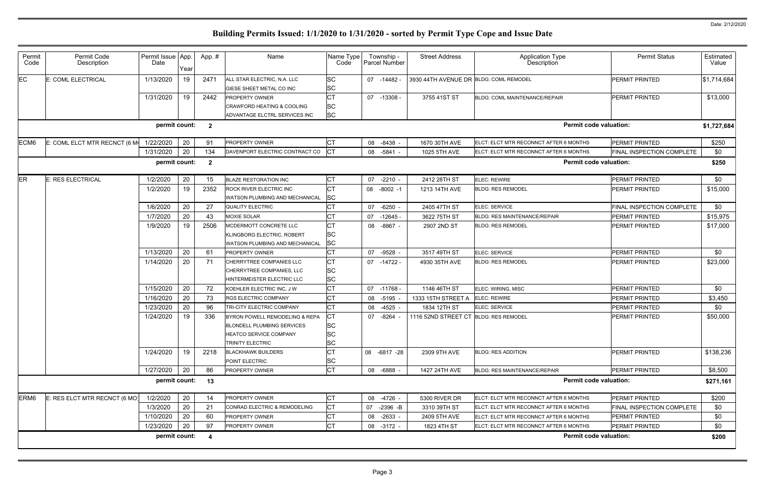| Permit<br>Code   | Permit Code<br>Description                                                         | Permit Issue App.<br>Date | Year | App.# | Name                                  | Name Type<br>Code | Township -<br><b>Parcel Number</b> | <b>Street Address</b>                  | <b>Application Type</b><br>Description | <b>Permit Status</b>      | Estimated<br>Value |  |
|------------------|------------------------------------------------------------------------------------|---------------------------|------|-------|---------------------------------------|-------------------|------------------------------------|----------------------------------------|----------------------------------------|---------------------------|--------------------|--|
| EC               | E: COML ELECTRICAL                                                                 | 1/13/2020                 | 19   | 2471  | ALL STAR ELECTRIC, N.A. LLC           | SC                | 07 -14482 -                        | 3930 44TH AVENUE DR BLDG: COML REMODEL |                                        | PERMIT PRINTED            | \$1,714,684        |  |
|                  |                                                                                    |                           |      |       | GIESE SHEET METAL CO INC              | <b>SC</b>         |                                    |                                        |                                        |                           |                    |  |
|                  |                                                                                    | 1/31/2020                 | 19   | 2442  | <b>PROPERTY OWNER</b>                 | <b>CT</b>         | 07 -13308 -                        | 3755 41ST ST                           | BLDG: COML MAINTENANCE/REPAIR          | PERMIT PRINTED            | \$13,000           |  |
|                  |                                                                                    |                           |      |       | <b>CRAWFORD HEATING &amp; COOLING</b> | <b>SC</b>         |                                    |                                        |                                        |                           |                    |  |
|                  |                                                                                    |                           |      |       | ADVANTAGE ELCTRL SERVICES INC         | <b>SC</b>         |                                    |                                        |                                        |                           |                    |  |
|                  |                                                                                    | permit count: 2           |      |       |                                       |                   |                                    |                                        | <b>Permit code valuation:</b>          |                           | \$1,727,684        |  |
| ECM6             | E: COML ELCT MTR RECNCT (6 M                                                       | 1/22/2020                 | 20   | 91    | <b>PROPERTY OWNER</b>                 | <b>CT</b>         | 08 -8438 -                         | 1670 30TH AVE                          | ELCT: ELCT MTR RECONNCT AFTER 6 MONTHS | <b>PERMIT PRINTED</b>     | \$250              |  |
|                  |                                                                                    | 1/31/2020                 | 20   | 134   | DAVENPORT ELECTRIC CONTRACT CO        | Iст               | 08<br>-5841 -                      | 1025 5TH AVE                           | ELCT: ELCT MTR RECONNCT AFTER 6 MONTHS | FINAL INSPECTION COMPLETE | \$0                |  |
|                  | permit count:<br><b>Permit code valuation:</b><br>$\overline{\mathbf{2}}$<br>\$250 |                           |      |       |                                       |                   |                                    |                                        |                                        |                           |                    |  |
| ER               | E: RES ELECTRICAL                                                                  | 1/2/2020                  | 20   | 15    | <b>BLAZE RESTORATION INC</b>          | <b>CT</b>         | $-2210 -$<br>07                    | 2412 28TH ST                           | <b>ELEC: REWIRE</b>                    | PERMIT PRINTED            | \$0                |  |
|                  |                                                                                    | 1/2/2020                  | 19   | 2352  | ROCK RIVER ELECTRIC INC               | <b>CT</b>         | 08<br>$-8002 -1$                   | 1213 14TH AVE                          | <b>BLDG: RES REMODEL</b>               | PERMIT PRINTED            | \$15,000           |  |
|                  |                                                                                    |                           |      |       | <b>WATSON PLUMBING AND MECHANICAL</b> | <b>SC</b>         |                                    |                                        |                                        |                           |                    |  |
|                  |                                                                                    | 1/6/2020                  | 20   | 27    | <b>QUALITY ELECTRIC</b>               | <b>CT</b>         | -6250 -<br>07                      | 2405 47TH ST                           | <b>ELEC: SERVICE</b>                   | FINAL INSPECTION COMPLETE | \$0                |  |
|                  |                                                                                    | 1/7/2020                  | 20   | 43    | <b>MOXIE SOLAR</b>                    | <b>CT</b>         | -12645 -<br>07                     | 3622 75TH ST                           | <b>BLDG: RES MAINTENANCE/REPAIR</b>    | PERMIT PRINTED            | \$15,975           |  |
|                  |                                                                                    | 1/9/2020                  | 19   | 2506  | MCDERMOTT CONCRETE LLC                | <b>CT</b>         | 08 -8867 -                         | 2907 2ND ST                            | <b>BLDG: RES REMODEL</b>               | PERMIT PRINTED            | \$17,000           |  |
|                  |                                                                                    |                           |      |       | KLINGBORG ELECTRIC, ROBERT            | <b>SC</b>         |                                    |                                        |                                        |                           |                    |  |
|                  |                                                                                    |                           |      |       | WATSON PLUMBING AND MECHANICAL        | <b>SC</b>         |                                    |                                        |                                        |                           |                    |  |
|                  |                                                                                    | 1/13/2020                 | 20   | 61    | <b>PROPERTY OWNER</b>                 | <b>CT</b>         | 07 -9528 -                         | 3517 49TH ST                           | <b>ELEC: SERVICE</b>                   | <b>PERMIT PRINTED</b>     | \$0                |  |
|                  |                                                                                    | 1/14/2020                 | 20   | 71    | CHERRYTREE COMPANIES LLC              | <b>CT</b>         | 07 -14722 -                        | 4930 35TH AVE                          | <b>BLDG: RES REMODEL</b>               | PERMIT PRINTED            | \$23,000           |  |
|                  |                                                                                    |                           |      |       | CHERRYTREE COMPANIES, LLC             | <b>SC</b>         |                                    |                                        |                                        |                           |                    |  |
|                  |                                                                                    |                           |      |       | HINTERMEISTER ELECTRIC LLC            | <b>SC</b>         |                                    |                                        |                                        |                           |                    |  |
|                  |                                                                                    | 1/15/2020                 | 20   | 72    | KOEHLER ELECTRIC INC, J W             | <b>CT</b>         | 07 -11768 -                        | 1146 46TH ST                           | ELEC: WIRING, MISC                     | <b>PERMIT PRINTED</b>     | \$0                |  |
|                  |                                                                                    | 1/16/2020                 | 20   | 73    | <b>RGS ELECTRIC COMPANY</b>           | <b>CT</b>         | 08 -5195 -                         | 1333 15TH STREET A                     | <b>ELEC: REWIRE</b>                    | <b>PERMIT PRINTED</b>     | \$3,450            |  |
|                  |                                                                                    | 1/23/2020                 | 20   | 96    | TRI-CITY ELECTRIC COMPANY             | <b>CT</b>         | 08 -4525 -                         | 1834 12TH ST                           | <b>ELEC: SERVICE</b>                   | <b>PERMIT PRINTED</b>     | \$0                |  |
|                  |                                                                                    | 1/24/2020                 | 19   | 336   | BYRON POWELL REMODELING & REPA        | СT                | $-8264$<br>07                      | 1116 52ND STREET CT                    | <b>BLDG: RES REMODEL</b>               | PERMIT PRINTED            | \$50,000           |  |
|                  |                                                                                    |                           |      |       | <b>BLONDELL PLUMBING SERVICES</b>     | <b>SC</b>         |                                    |                                        |                                        |                           |                    |  |
|                  |                                                                                    |                           |      |       | HEATCO SERVICE COMPANY                | <b>SC</b>         |                                    |                                        |                                        |                           |                    |  |
|                  |                                                                                    |                           |      |       | <b>TRINITY ELECTRIC</b>               | <b>SC</b>         |                                    |                                        |                                        |                           |                    |  |
|                  |                                                                                    | 1/24/2020                 | 19   | 2218  | <b>BLACKHAWK BUILDERS</b>             | <b>CT</b>         | 08 -6817 -28                       | 2309 9TH AVE                           | <b>BLDG: RES ADDITION</b>              | PERMIT PRINTED            | \$138,236          |  |
|                  |                                                                                    |                           |      |       | POINT ELECTRIC                        | SC                |                                    |                                        |                                        |                           |                    |  |
|                  |                                                                                    | 1/27/2020                 | 20   | 86    | PROPERTY OWNER                        | <b>CT</b>         | 08 -6888 -                         | 1427 24TH AVE                          | BLDG: RES MAINTENANCE/REPAIR           | PERMIT PRINTED            | \$8,500            |  |
|                  |                                                                                    | permit count: 13          |      |       |                                       |                   |                                    |                                        | <b>Permit code valuation:</b>          |                           | \$271,161          |  |
| ERM <sub>6</sub> | E: RES ELCT MTR RECNCT (6 MO)                                                      | 1/2/2020                  | 20   | 14    | <b>PROPERTY OWNER</b>                 | <b>CT</b>         | 08 -4726 -                         | 5300 RIVER DR                          | ELCT: ELCT MTR RECONNCT AFTER 6 MONTHS | <b>PERMIT PRINTED</b>     | \$200              |  |
|                  |                                                                                    | 1/3/2020                  | 20   | 21    | CONRAD ELECTRIC & REMODELING          | <b>CT</b>         | 07<br>$-2396 - B$                  | 3310 39TH ST                           | ELCT: ELCT MTR RECONNCT AFTER 6 MONTHS | FINAL INSPECTION COMPLETE | \$0                |  |
|                  |                                                                                    | 1/10/2020                 | 20   | 60    | <b>PROPERTY OWNER</b>                 | <b>CT</b>         | 08 -2633 -                         | 2409 5TH AVE                           | ELCT: ELCT MTR RECONNCT AFTER 6 MONTHS | PERMIT PRINTED            | \$0                |  |
|                  |                                                                                    | 1/23/2020                 | 20   | 97    | <b>PROPERTY OWNER</b>                 | <b>CT</b>         | 08 -3172 -                         | 1823 4TH ST                            | ELCT: ELCT MTR RECONNCT AFTER 6 MONTHS | PERMIT PRINTED            | \$0                |  |
|                  |                                                                                    | permit count: 4           |      |       |                                       |                   |                                    |                                        | <b>Permit code valuation:</b>          |                           | \$200              |  |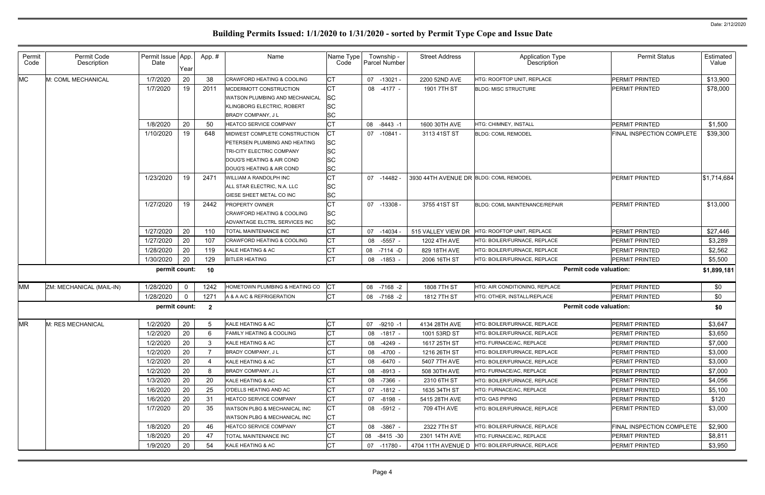| Permit<br>Code | Permit Code<br>Description | Permit Issue App.<br>Date | Year           | App.#          | Name                                                                                                                                                  | Name Type<br>Code                                      | Township -<br>Parcel Number | <b>Street Address</b>                  | <b>Application Type</b><br>Description            | <b>Permit Status</b>      | Estimated<br>Value |
|----------------|----------------------------|---------------------------|----------------|----------------|-------------------------------------------------------------------------------------------------------------------------------------------------------|--------------------------------------------------------|-----------------------------|----------------------------------------|---------------------------------------------------|---------------------------|--------------------|
| <b>MC</b>      | M: COML MECHANICAL         | 1/7/2020                  | 20             | 38             | <b>CRAWFORD HEATING &amp; COOLING</b>                                                                                                                 | <b>CT</b>                                              | 07<br>-13021 -              | 2200 52ND AVE                          | HTG: ROOFTOP UNIT, REPLACE                        | <b>PERMIT PRINTED</b>     | \$13,900           |
|                |                            | 1/7/2020                  | 19             | 2011           | MCDERMOTT CONSTRUCTION<br>WATSON PLUMBING AND MECHANICAL<br>KLINGBORG ELECTRIC, ROBERT<br><b>BRADY COMPANY, JL</b>                                    | <b>CT</b><br><b>SC</b><br>SC<br>SC                     | 08 -4177 -                  | 1901 7TH ST                            | <b>BLDG: MISC STRUCTURE</b>                       | <b>PERMIT PRINTED</b>     | \$78,000           |
|                |                            | 1/8/2020                  | 20             | 50             | <b>HEATCO SERVICE COMPANY</b>                                                                                                                         | <b>CT</b>                                              | 08<br>$-8443 - 1$           | 1600 30TH AVE                          | HTG: CHIMNEY, INSTALL                             | <b>PERMIT PRINTED</b>     | \$1,500            |
|                |                            | 1/10/2020                 | 19             | 648            | MIDWEST COMPLETE CONSTRUCTION<br>PETERSEN PLUMBING AND HEATING<br>TRI-CITY ELECTRIC COMPANY<br>DOUG'S HEATING & AIR COND<br>DOUG'S HEATING & AIR COND | <b>CT</b><br><b>SC</b><br><b>SC</b><br>SC<br><b>SC</b> | 07 -10841 -                 | 3113 41ST ST                           | <b>BLDG: COML REMODEL</b>                         | FINAL INSPECTION COMPLETE | \$39,300           |
|                |                            | 1/23/2020                 | 19             | 2471           | WILLIAM A RANDOLPH INC<br>ALL STAR ELECTRIC, N.A. LLC<br>GIESE SHEET METAL CO INC                                                                     | <b>CT</b><br><b>SC</b><br><b>SC</b>                    | 07 -14482 -                 | 3930 44TH AVENUE DR BLDG: COML REMODEL |                                                   | <b>PERMIT PRINTED</b>     | \$1,714,684        |
|                |                            | 1/27/2020                 | 19             | 2442           | <b>PROPERTY OWNER</b><br><b>CRAWFORD HEATING &amp; COOLING</b><br>ADVANTAGE ELCTRL SERVICES INC                                                       | <b>CT</b><br><b>SC</b><br><b>SC</b>                    | 07 -13308 -                 | 3755 41ST ST                           | <b>BLDG: COML MAINTENANCE/REPAIR</b>              | <b>PERMIT PRINTED</b>     | \$13,000           |
|                |                            | 1/27/2020                 | 20             | 110            | TOTAL MAINTENANCE INC                                                                                                                                 | <b>CT</b>                                              | 07<br>$-14034$              | 515 VALLEY VIEW DR                     | HTG: ROOFTOP UNIT, REPLACE                        | <b>PERMIT PRINTED</b>     | \$27,446           |
|                |                            | 1/27/2020                 | 20             | 107            | CRAWFORD HEATING & COOLING                                                                                                                            | <b>CT</b>                                              | $-5557 -$<br>08             | 1202 4TH AVE                           | HTG: BOILER/FURNACE, REPLACE                      | <b>PERMIT PRINTED</b>     | \$3,289            |
|                |                            | 1/28/2020                 | 20             | 119            | KALE HEATING & AC                                                                                                                                     | <b>CT</b>                                              | 08 -7114 -D                 | 829 18TH AVE                           | HTG: BOILER/FURNACE, REPLACE                      | PERMIT PRINTED            | \$2,562            |
|                |                            | 1/30/2020                 | 20             | 129            | <b>BITLER HEATING</b>                                                                                                                                 | <b>CT</b>                                              | -1853 -<br>08               | 2006 16TH ST                           | HTG: BOILER/FURNACE, REPLACE                      | <b>PERMIT PRINTED</b>     | \$5,500            |
|                |                            | permit count:             |                | 10             |                                                                                                                                                       |                                                        |                             |                                        | <b>Permit code valuation:</b>                     |                           | \$1,899,181        |
| <b>MM</b>      | ZM: MECHANICAL (MAIL-IN)   | 1/28/2020                 | $\overline{0}$ | 1242           | HOMETOWN PLUMBING & HEATING CO                                                                                                                        | СT                                                     | 08 -7168 -2                 | 1808 7TH ST                            | HTG: AIR CONDITIONING, REPLACE                    | <b>PERMIT PRINTED</b>     | \$0                |
|                |                            | 1/28/2020                 | $\mathbf 0$    | 1271           | A & A A/C & REFRIGERATION                                                                                                                             | <b>CT</b>                                              | 08 -7168 -2                 | 1812 7TH ST                            | HTG: OTHER, INSTALL/REPLACE                       | PERMIT PRINTED            | \$0                |
|                |                            | permit count:             |                | $\overline{2}$ |                                                                                                                                                       |                                                        |                             |                                        | <b>Permit code valuation:</b>                     |                           | \$0                |
| <b>MR</b>      | M: RES MECHANICAL          | 1/2/2020                  | 20             |                | KALE HEATING & AC                                                                                                                                     | <b>CT</b>                                              | 07<br>$-9210 -1$            | 4134 28TH AVE                          | HTG: BOILER/FURNACE, REPLACE                      | <b>PERMIT PRINTED</b>     | \$3,647            |
|                |                            | 1/2/2020                  | 20             |                | <b>FAMILY HEATING &amp; COOLING</b>                                                                                                                   | CT                                                     | 08 -1817 -                  | 1001 53RD ST                           | HTG: BOILER/FURNACE, REPLACE                      | <b>PERMIT PRINTED</b>     | \$3,650            |
|                |                            | 1/2/2020                  | 20             |                | KALE HEATING & AC                                                                                                                                     | <b>CT</b>                                              | 08 -4249 -                  | 1617 25TH ST                           | HTG: FURNACE/AC, REPLACE                          | <b>PERMIT PRINTED</b>     | \$7,000            |
|                |                            | 1/2/2020                  | 20             |                | BRADY COMPANY, J L                                                                                                                                    | <b>CT</b>                                              | 08 -4700 -                  | 1216 26TH ST                           | HTG: BOILER/FURNACE, REPLACE                      | <b>PERMIT PRINTED</b>     | \$3,000            |
|                |                            | 1/2/2020                  | 20             |                | KALE HEATING & AC                                                                                                                                     | <b>CT</b>                                              | 08 -6470 -                  | 5407 7TH AVE                           | HTG: BOILER/FURNACE. REPLACE                      | <b>PERMIT PRINTED</b>     | \$3,000            |
|                |                            | 1/2/2020                  | 20             |                | BRADY COMPANY, J L                                                                                                                                    | <b>CT</b>                                              | 08 -8913 -                  | 508 30TH AVE                           | HTG: FURNACE/AC, REPLACE                          | <b>PERMIT PRINTED</b>     | \$7,000            |
|                |                            | 1/3/2020                  | 20             | 20             | KALE HEATING & AC                                                                                                                                     | <b>CT</b>                                              | 08 -7366 -                  | 2310 6TH ST                            | <b>HTG: BOILER/FURNACE. REPLACE</b>               | <b>PERMIT PRINTED</b>     | \$4,056            |
|                |                            | 1/6/2020                  | 20             | 25             | O'DELLS HEATING AND AC                                                                                                                                | <b>CT</b>                                              | 07<br>$-1812 -$             | 1635 34TH ST                           | HTG: FURNACE/AC, REPLACE                          | <b>PERMIT PRINTED</b>     | \$5,100            |
|                |                            | 1/6/2020                  | 20             | 31             | <b>HEATCO SERVICE COMPANY</b>                                                                                                                         | <b>CT</b>                                              | 07 -8198 -                  | 5415 28TH AVE                          | <b>HTG: GAS PIPING</b>                            | <b>PERMIT PRINTED</b>     | \$120              |
|                |                            | 1/7/2020                  | 20             | 35             | WATSON PLBG & MECHANICAL INC<br>WATSON PLBG & MECHANICAL INC                                                                                          | <b>CT</b><br>СT                                        | 08 -5912 -                  | 709 4TH AVE                            | HTG: BOILER/FURNACE, REPLACE                      | <b>PERMIT PRINTED</b>     | \$3,000            |
|                |                            | 1/8/2020                  | 20             | 46             | HEATCO SERVICE COMPANY                                                                                                                                | <b>CT</b>                                              | 08 -3867 -                  | 2322 7TH ST                            | HTG: BOILER/FURNACE, REPLACE                      | FINAL INSPECTION COMPLETE | \$2,900            |
|                |                            | 1/8/2020                  | 20             | 47             | TOTAL MAINTENANCE INC                                                                                                                                 | <b>CT</b>                                              | 08 -8415 -30                | 2301 14TH AVE                          | HTG: FURNACE/AC, REPLACE                          | <b>PERMIT PRINTED</b>     | \$8,811            |
|                |                            | 1/9/2020                  | 20             | 54             | KALE HEATING & AC                                                                                                                                     | <b>CT</b>                                              | 07 -11780 -                 |                                        | 4704 11TH AVENUE D   HTG: BOILER/FURNACE, REPLACE | <b>PERMIT PRINTED</b>     | \$3,950            |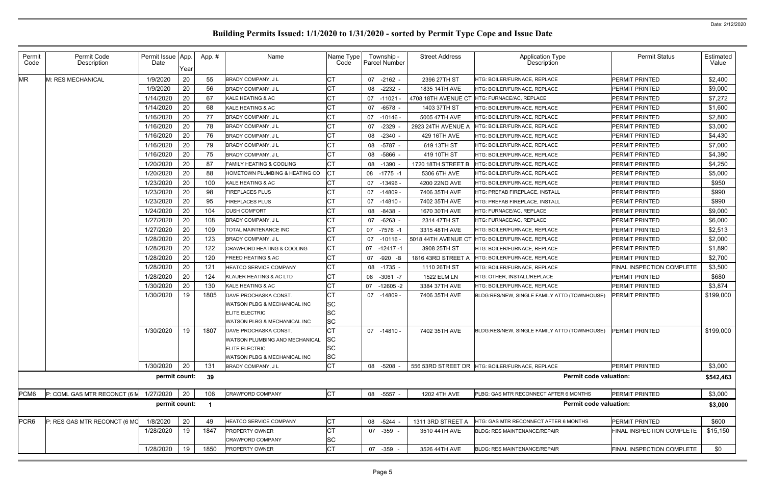| Permit<br>Code   | Permit Code<br>Description   | Permit Issue App.<br>Date | Year | App.#                   | Name                                    | Name Type<br>Code | Township -<br><b>Parcel Number</b> | <b>Street Address</b> | <b>Application Type</b><br>Description                      | <b>Permit Status</b>      | Estimated<br>Value |
|------------------|------------------------------|---------------------------|------|-------------------------|-----------------------------------------|-------------------|------------------------------------|-----------------------|-------------------------------------------------------------|---------------------------|--------------------|
| <b>MR</b>        | M: RES MECHANICAL            | 1/9/2020                  | 20   | 55                      | <b>BRADY COMPANY, JL</b>                | <b>CT</b>         | 07 -2162 -                         | 2396 27TH ST          | <b>ITG: BOILER/FURNACE. REPLACE</b>                         | PERMIT PRINTED            | \$2,400            |
|                  |                              | 1/9/2020                  | 20   | 56                      | <b>BRADY COMPANY, JL</b>                | <b>CT</b>         | 08<br>$-2232 -$                    | 1835 14TH AVE         | HTG: BOILER/FURNACE, REPLACE                                | PERMIT PRINTED            | \$9,000            |
|                  |                              | 1/14/2020                 | 20   | 67                      | KALE HEATING & AC                       | <b>CT</b>         | $07 - 11021 -$                     |                       | 4708 18TH AVENUE CT HTG: FURNACE/AC, REPLACE                | PERMIT PRINTED            | \$7,272            |
|                  |                              | 1/14/2020                 | 20   | 68                      | KALE HEATING & AC                       | <b>CT</b>         | $-6578 -$<br>07                    | 1403 37TH ST          | HTG: BOILER/FURNACE, REPLACE                                | PERMIT PRINTED            | \$1,600            |
|                  |                              | 1/16/2020                 | 20   | 77                      | <b>BRADY COMPANY, JL</b>                | <b>CT</b>         | 07 -10146 -                        | 5005 47TH AVE         | HTG: BOILER/FURNACE, REPLACE                                | PERMIT PRINTED            | \$2,800            |
|                  |                              | 1/16/2020                 | 20   | 78                      | <b>BRADY COMPANY, JL</b>                | <b>CT</b>         | -2329<br>07                        | 2923 24TH AVENUE A    | HTG: BOILER/FURNACE, REPLACE                                | PERMIT PRINTED            | \$3,000            |
|                  |                              | 1/16/2020                 | 20   | 76                      | <b>BRADY COMPANY, JL</b>                | <b>CT</b>         | 08 -2340 -                         | 429 16TH AVE          | HTG: BOILER/FURNACE, REPLACE                                | PERMIT PRINTED            | \$4,430            |
|                  |                              | 1/16/2020                 | 20   | 79                      | BRADY COMPANY, J L                      | <b>CT</b>         | 08<br>-5787 -                      | 619 13TH ST           | HTG: BOILER/FURNACE, REPLACE                                | PERMIT PRINTED            | \$7,000            |
|                  |                              | 1/16/2020                 | 20   | 75                      | <b>BRADY COMPANY, JL</b>                | <b>CT</b>         | 08 -5866 -                         | 419 10TH ST           | HTG: BOILER/FURNACE, REPLACE                                | PERMIT PRINTED            | \$4,390            |
|                  |                              | 1/20/2020                 | 20   | 87                      | <b>FAMILY HEATING &amp; COOLING</b>     | <b>CT</b>         | 08 -1390 -                         | 1720 18TH STREET B    | HTG: BOILER/FURNACE, REPLACE                                | PERMIT PRINTED            | \$4,250            |
|                  |                              | 1/20/2020                 | 20   | 88                      | HOMETOWN PLUMBING & HEATING CO          | Iст               | 08 -1775 -1                        | 5306 6TH AVE          | <b>HTG: BOILER/FURNACE. REPLACE</b>                         | PERMIT PRINTED            | \$5,000            |
|                  |                              | 1/23/2020                 | 20   | 100                     | KALE HEATING & AC                       | <b>CT</b>         | 07<br>-13496 -                     | 4200 22ND AVE         | HTG: BOILER/FURNACE, REPLACE                                | PERMIT PRINTED            | \$950              |
|                  |                              | 1/23/2020                 | 20   | 98                      | <b>FIREPLACES PLUS</b>                  | <b>CT</b>         | 07<br>-14809 -                     | 7406 35TH AVE         | HTG: PREFAB FIREPLACE, INSTALL                              | PERMIT PRINTED            | \$990              |
|                  |                              | 1/23/2020                 | 20   | 95                      | <b>FIREPLACES PLUS</b>                  | <b>CT</b>         | 07<br>-14810 -                     | 7402 35TH AVE         | HTG: PREFAB FIREPLACE, INSTALL                              | PERMIT PRINTED            | \$990              |
|                  |                              | 1/24/2020                 | 20   | 104                     | <b>CUSH COMFORT</b>                     | <b>CT</b>         | 08 -8438 -                         | 1670 30TH AVE         | HTG: FURNACE/AC, REPLACE                                    | PERMIT PRINTED            | \$9,000            |
|                  |                              | 1/27/2020                 | 20   | 108                     | BRADY COMPANY, J L                      | <b>CT</b>         | $-6263 -$<br>07                    | 2314 47TH ST          | HTG: FURNACE/AC, REPLACE                                    | PERMIT PRINTED            | \$6,000            |
|                  |                              | 1/27/2020                 | 20   | 109                     | TOTAL MAINTENANCE INC                   | <b>CT</b>         | 07 -7576 -1                        | 3315 48TH AVE         | HTG: BOILER/FURNACE, REPLACE                                | PERMIT PRINTED            | \$2,513            |
|                  |                              | 1/28/2020                 | 20   | 123                     | <b>BRADY COMPANY, JL</b>                | <b>CT</b>         | 07<br>-10116 -                     |                       | 5018 44TH AVENUE CT HTG: BOILER/FURNACE, REPLACE            | PERMIT PRINTED            | \$2,000            |
|                  |                              | 1/28/2020                 | 20   | 122                     | <b>CRAWFORD HEATING &amp; COOLING</b>   | <b>CT</b>         | 07 -12417 -1                       | 3908 25TH ST          | HTG: BOILER/FURNACE, REPLACE                                | PERMIT PRINTED            | \$1,890            |
|                  |                              | 1/28/2020                 | 20   | 120                     | <b>FREED HEATING &amp; AC</b>           | <b>CT</b>         | $-920 - B$<br>07                   | 1816 43RD STREET A    | HTG: BOILER/FURNACE, REPLACE                                | PERMIT PRINTED            | \$2,700            |
|                  |                              | 1/28/2020                 | 20   | 121                     | <b>HEATCO SERVICE COMPANY</b>           | <b>CT</b>         | 08 -1735 -                         | 1110 26TH ST          | HTG: BOILER/FURNACE, REPLACE                                | FINAL INSPECTION COMPLETE | \$3,500            |
|                  |                              | 1/28/2020                 | 20   | 124                     | KLAUER HEATING & AC LTD                 | <b>CT</b>         | $-3061 - 7$<br>08                  | 1522 ELM LN           | HTG: OTHER, INSTALL/REPLACE                                 | PERMIT PRINTED            | \$680              |
|                  |                              | 1/30/2020                 | 20   | 130                     | KALE HEATING & AC                       | <b>CT</b>         | $-12605 - 2$<br>07                 | 3384 37TH AVE         | HTG: BOILER/FURNACE, REPLACE                                | PERMIT PRINTED            | \$3,874            |
|                  |                              | 1/30/2020                 | 19   | 1805                    | DAVE PROCHASKA CONST.                   | <b>CT</b>         | 07<br>-14809 -                     | 7406 35TH AVE         | BLDG:RES/NEW, SINGLE FAMILY ATTD (TOWNHOUSE)                | PERMIT PRINTED            | \$199,000          |
|                  |                              |                           |      |                         | <b>WATSON PLBG &amp; MECHANICAL INC</b> | <b>SC</b>         |                                    |                       |                                                             |                           |                    |
|                  |                              |                           |      |                         | ELITE ELECTRIC                          | <b>SC</b>         |                                    |                       |                                                             |                           |                    |
|                  |                              |                           |      |                         | WATSON PLBG & MECHANICAL INC            | <b>SC</b>         |                                    |                       |                                                             |                           |                    |
|                  |                              | 1/30/2020                 | 19   | 1807                    | DAVE PROCHASKA CONST.                   | IСT               | 07 -14810 -                        | 7402 35TH AVE         | BLDG:RES/NEW, SINGLE FAMILY ATTD (TOWNHOUSE) PERMIT PRINTED |                           | \$199,000          |
|                  |                              |                           |      |                         | <b>WATSON PLUMBING AND MECHANICAL</b>   | <b>SC</b>         |                                    |                       |                                                             |                           |                    |
|                  |                              |                           |      |                         | ELITE ELECTRIC                          | <b>SC</b>         |                                    |                       |                                                             |                           |                    |
|                  |                              |                           |      |                         | WATSON PLBG & MECHANICAL INC            | <b>SC</b>         |                                    |                       |                                                             |                           |                    |
|                  |                              | 1/30/2020                 | 20   | 131                     | BRADY COMPANY, J L                      | <b>CT</b>         | 08 -5208 -                         |                       | 556 53RD STREET DR HTG: BOILER/FURNACE, REPLACE             | PERMIT PRINTED            | \$3,000            |
|                  |                              | permit count:             |      | 39                      |                                         |                   |                                    |                       | <b>Permit code valuation:</b>                               |                           | \$542,463          |
| PCM <sub>6</sub> | P: COML GAS MTR RECONCT (6 M | 1/27/2020                 | 20   | 106                     | <b>CRAWFORD COMPANY</b>                 | <b>CT</b>         | 08 -5557 -                         | 1202 4TH AVE          | PLBG: GAS MTR RECONNECT AFTER 6 MONTHS                      | PERMIT PRINTED            | \$3,000            |
|                  |                              | permit count:             |      | $\overline{\mathbf{1}}$ |                                         |                   |                                    |                       | <b>Permit code valuation:</b>                               |                           | \$3,000            |
| PCR <sub>6</sub> | P: RES GAS MTR RECONCT (6 MC | 1/8/2020                  | 20   | 49                      | <b>HEATCO SERVICE COMPANY</b>           | Iст               | 08 - 5244                          | 1311 3RD STREET A     | HTG: GAS MTR RECONNECT AFTER 6 MONTHS                       | PERMIT PRINTED            | \$600              |
|                  |                              | 1/28/2020                 | 19   | 1847                    | <b>PROPERTY OWNER</b>                   | <b>CT</b>         | 07 -359 -                          | 3510 44TH AVE         | <b>BLDG: RES MAINTENANCE/REPAIR</b>                         | FINAL INSPECTION COMPLETE | \$15,150           |
|                  |                              |                           |      |                         | <b>CRAWFORD COMPANY</b>                 | ΙSC               |                                    |                       |                                                             |                           |                    |
|                  |                              | 1/28/2020                 | 19   | 1850                    | <b>PROPERTY OWNER</b>                   | <b>CT</b>         | 07 -359 -                          | 3526 44TH AVE         | <b>BLDG: RES MAINTENANCE/REPAIR</b>                         | FINAL INSPECTION COMPLETE | \$0                |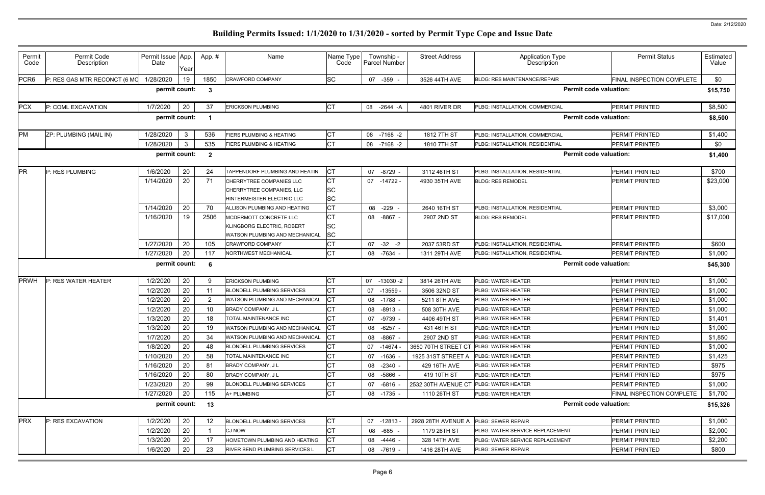| Permit<br>Code   | Permit Code<br>Description   | Permit Issue App.<br>Date | Year         | App.#                   | Name                                                                                   | Name Type<br>Code                   | Township -<br><b>Parcel Number</b> | <b>Street Address</b> | <b>Application Type</b><br>Description | <b>Permit Status</b>          | Estimated<br>Value |
|------------------|------------------------------|---------------------------|--------------|-------------------------|----------------------------------------------------------------------------------------|-------------------------------------|------------------------------------|-----------------------|----------------------------------------|-------------------------------|--------------------|
| PCR <sub>6</sub> | P: RES GAS MTR RECONCT (6 MO | 1/28/2020                 | 19           | 1850                    | <b>CRAWFORD COMPANY</b>                                                                | <b>SC</b>                           | 07 -359 -                          | 3526 44TH AVE         | <b>BLDG: RES MAINTENANCE/REPAIR</b>    | FINAL INSPECTION COMPLETE     | \$0                |
|                  |                              | permit count:             |              | - 3                     |                                                                                        |                                     |                                    |                       |                                        | <b>Permit code valuation:</b> | \$15,750           |
| <b>PCX</b>       | P: COML EXCAVATION           | 1/7/2020                  | 20           | 37                      | <b>ERICKSON PLUMBING</b>                                                               | <b>CT</b>                           | 08 -2644 -A                        | 4801 RIVER DR         | PLBG: INSTALLATION, COMMERCIAL         | <b>PERMIT PRINTED</b>         | \$8,500            |
|                  |                              | permit count:             |              |                         |                                                                                        |                                     |                                    |                       |                                        | <b>Permit code valuation:</b> | \$8,500            |
| PM               | ZP: PLUMBING (MAIL IN)       | 1/28/2020                 | $\mathbf{3}$ | 536                     | FIERS PLUMBING & HEATING                                                               | <b>CT</b>                           | 08<br>$-7168 - 2$                  | 1812 7TH ST           | PLBG: INSTALLATION, COMMERCIAL         | <b>PERMIT PRINTED</b>         | \$1,400            |
|                  |                              | 1/28/2020                 | $\mathbf{3}$ | 535                     | <b>FIERS PLUMBING &amp; HEATING</b>                                                    | <b>CT</b>                           | 08 -7168 -2                        | 1810 7TH ST           | PLBG: INSTALLATION, RESIDENTIAL        | <b>PERMIT PRINTED</b>         | \$0                |
|                  |                              | permit count:             |              | $\overline{\mathbf{2}}$ |                                                                                        |                                     |                                    |                       |                                        | <b>Permit code valuation:</b> | \$1,400            |
| <b>PR</b>        | P: RES PLUMBING              | 1/6/2020                  | 20           | 24                      | TAPPENDORF PLUMBING AND HEATIN                                                         | СT                                  | 07<br>-8729 -                      | 3112 46TH ST          | PLBG: INSTALLATION, RESIDENTIAL        | <b>PERMIT PRINTED</b>         | \$700              |
|                  |                              | 1/14/2020                 | 20           | 71                      | CHERRYTREE COMPANIES LLC<br>CHERRYTREE COMPANIES, LLC<br>HINTERMEISTER ELECTRIC LLC    | <b>CT</b><br><b>SC</b><br><b>SC</b> | 07 -14722 -                        | 4930 35TH AVE         | <b>BLDG: RES REMODEL</b>               | <b>PERMIT PRINTED</b>         | \$23,000           |
|                  |                              | 1/14/2020                 | 20           | 70                      | ALLISON PLUMBING AND HEATING                                                           | <b>CT</b>                           | 08 -229 -                          | 2640 16TH ST          | PLBG: INSTALLATION, RESIDENTIAL        | <b>PERMIT PRINTED</b>         | \$3,000            |
|                  |                              | 1/16/2020                 | 19           | 2506                    | MCDERMOTT CONCRETE LLC<br>KLINGBORG ELECTRIC, ROBERT<br>WATSON PLUMBING AND MECHANICAL | <b>CT</b><br><b>SC</b><br><b>SC</b> | 08 -8867 -                         | 2907 2ND ST           | <b>BLDG: RES REMODEL</b>               | <b>PERMIT PRINTED</b>         | \$17,000           |
|                  |                              | 1/27/2020                 | 20           | 105                     | <b>CRAWFORD COMPANY</b>                                                                | <b>CT</b>                           | $-32 -2$<br>07                     | 2037 53RD ST          | PLBG: INSTALLATION, RESIDENTIAL        | <b>PERMIT PRINTED</b>         | \$600              |
|                  |                              | 1/27/2020                 | 20           | 117                     | NORTHWEST MECHANICAL                                                                   | <b>CT</b>                           | 08 -7634 -                         | 1311 29TH AVE         | PLBG: INSTALLATION, RESIDENTIAL        | <b>PERMIT PRINTED</b>         | \$1,000            |
|                  |                              | permit count:             |              | - 6                     |                                                                                        |                                     |                                    |                       |                                        | <b>Permit code valuation:</b> | \$45,300           |
| <b>PRWH</b>      | P: RES WATER HEATER          | 1/2/2020                  | 20           | q                       | <b>ERICKSON PLUMBING</b>                                                               | <b>CT</b>                           | 07<br>$-13030 - 2$                 | 3814 26TH AVE         | <b>PLBG: WATER HEATER</b>              | <b>PERMIT PRINTED</b>         | \$1,000            |
|                  |                              | 1/2/2020                  | 20           |                         | <b>BLONDELL PLUMBING SERVICES</b>                                                      | <b>CT</b>                           | $-13559$<br>07                     | 3506 32ND ST          | <b>PLBG: WATER HEATER</b>              | <b>PERMIT PRINTED</b>         | \$1,000            |
|                  |                              | 1/2/2020                  | 20           | 2                       | <b>WATSON PLUMBING AND MECHANICAL</b>                                                  | СT                                  | 08 -1788 -                         | 5211 8TH AVE          | PLBG: WATER HEATER                     | <b>PERMIT PRINTED</b>         | \$1,000            |
|                  |                              | 1/2/2020                  | 20           | 10                      | BRADY COMPANY, J L                                                                     |                                     | 08 -8913 -                         | 508 30TH AVE          | PLBG: WATER HEATER                     | <b>PERMIT PRINTED</b>         | \$1,000            |
|                  |                              | 1/3/2020                  | 20           | 18                      | TOTAL MAINTENANCE INC                                                                  |                                     | -9739 -<br>07                      | 4406 49TH ST          | PLBG: WATER HEATER                     | <b>PERMIT PRINTED</b>         | \$1,401            |
|                  |                              | 1/3/2020                  | 20           | 19                      | WATSON PLUMBING AND MECHANICAL                                                         | <b>CT</b>                           | 08 -6257                           | 431 46TH ST           | PLBG: WATER HEATER                     | PERMIT PRINTED                | \$1,000            |
|                  |                              | 1/7/2020                  | 20           | 34                      | <b>WATSON PLUMBING AND MECHANICAL</b>                                                  |                                     | 08 -8867 -                         | 2907 2ND ST           | <b>PLBG: WATER HEATER</b>              | <b>PERMIT PRINTED</b>         | \$1,850            |
|                  |                              | 1/8/2020                  | 20           | 48                      | <b>BLONDELL PLUMBING SERVICES</b>                                                      | <b>CT</b>                           | 07 -14674 -                        | 3650 70TH STREET CT   | <b>PLBG: WATER HEATER</b>              | <b>PERMIT PRINTED</b>         | \$1,000            |
|                  |                              | 1/10/2020                 | 20           | 58                      | TOTAL MAINTENANCE INC                                                                  | <b>CT</b>                           | 07 -1636 -                         | 1925 31ST STREET A    | <b>PLBG: WATER HEATER</b>              | <b>PERMIT PRINTED</b>         | \$1,425            |
|                  |                              | 1/16/2020                 | 20           | 81                      | BRADY COMPANY, J L                                                                     | <b>CT</b>                           | 08 -2340 -                         | 429 16TH AVE          | <b>PLBG: WATER HEATER</b>              | <b>PERMIT PRINTED</b>         | \$975              |
|                  |                              | 1/16/2020                 | 20           | 80                      | BRADY COMPANY, J L                                                                     | <b>CT</b>                           | 08 -5866 -                         | 419 10TH ST           | <b>PLBG: WATER HEATER</b>              | <b>PERMIT PRINTED</b>         | \$975              |
|                  |                              | 1/23/2020                 | 20           | 99                      | <b>BLONDELL PLUMBING SERVICES</b>                                                      | <b>CT</b>                           | 07 -6816 -                         | 2532 30TH AVENUE CT   | <b>PLBG: WATER HEATER</b>              | <b>PERMIT PRINTED</b>         | \$1,000            |
|                  |                              | 1/27/2020                 | 20           | 115                     | A+ PLUMBING                                                                            | <b>CT</b>                           | 08 -1735 -                         | 1110 26TH ST          | PLBG: WATER HEATER                     | FINAL INSPECTION COMPLETE     | \$1,700            |
|                  |                              | permit count:             |              | 13                      |                                                                                        |                                     |                                    |                       |                                        | <b>Permit code valuation:</b> | \$15,326           |
| <b>PRX</b>       | <b>P: RES EXCAVATION</b>     | 1/2/2020                  | 20           | 12                      | <b>BLONDELL PLUMBING SERVICES</b>                                                      | СT                                  | 07 -12813 -                        | 2928 28TH AVENUE A    | <b>PLBG: SEWER REPAIR</b>              | <b>PERMIT PRINTED</b>         | \$1,000            |
|                  |                              | 1/2/2020                  | 20           |                         | <b>CJ NOW</b>                                                                          | <b>CT</b>                           | 08 -685 -                          | 1179 26TH ST          | PLBG: WATER SERVICE REPLACEMENT        | <b>PERMIT PRINTED</b>         | \$2,000            |
|                  |                              | 1/3/2020                  | 20           | 17                      | HOMETOWN PLUMBING AND HEATING                                                          | IСТ                                 | 08 -4446 -                         | 328 14TH AVE          | PLBG: WATER SERVICE REPLACEMENT        | <b>PERMIT PRINTED</b>         | \$2,200            |
|                  |                              | 1/6/2020                  | 20           | 23                      | <b>RIVER BEND PLUMBING SERVICES L</b>                                                  | СT                                  | 08 -7619 -                         | 1416 28TH AVE         | <b>PLBG: SEWER REPAIR</b>              | <b>PERMIT PRINTED</b>         | \$800              |